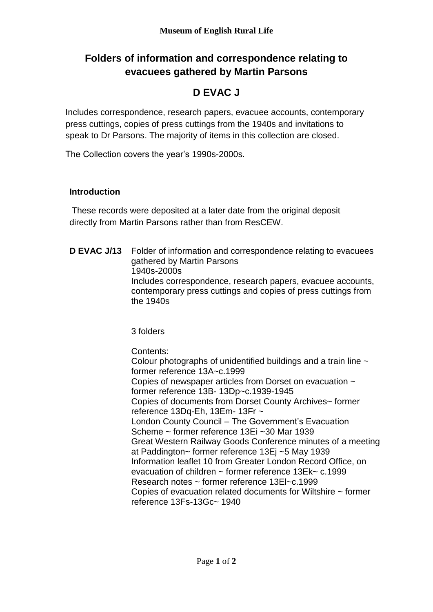## **Folders of information and correspondence relating to evacuees gathered by Martin Parsons**

## **D EVAC J**

Includes correspondence, research papers, evacuee accounts, contemporary press cuttings, copies of press cuttings from the 1940s and invitations to speak to Dr Parsons. The majority of items in this collection are closed.

The Collection covers the year's 1990s-2000s.

## **Introduction**

These records were deposited at a later date from the original deposit directly from Martin Parsons rather than from ResCEW.

**D EVAC J/13** Folder of information and correspondence relating to evacuees gathered by Martin Parsons 1940s-2000s Includes correspondence, research papers, evacuee accounts, contemporary press cuttings and copies of press cuttings from the 1940s

3 folders

Contents:

Colour photographs of unidentified buildings and a train line  $\sim$ former reference 13A~c.1999 Copies of newspaper articles from Dorset on evacuation ~ former reference 13B- 13Dp~c.1939-1945 Copies of documents from Dorset County Archives~ former reference 13Dq-Eh, 13Em- 13Fr ~ London County Council – The Government's Evacuation Scheme ~ former reference 13Ei ~30 Mar 1939 Great Western Railway Goods Conference minutes of a meeting at Paddington~ former reference 13Ej ~5 May 1939 Information leaflet 10 from Greater London Record Office, on evacuation of children ~ former reference 13Ek~ c.1999 Research notes ~ former reference 13El~c.1999 Copies of evacuation related documents for Wiltshire ~ former reference 13Fs-13Gc~ 1940